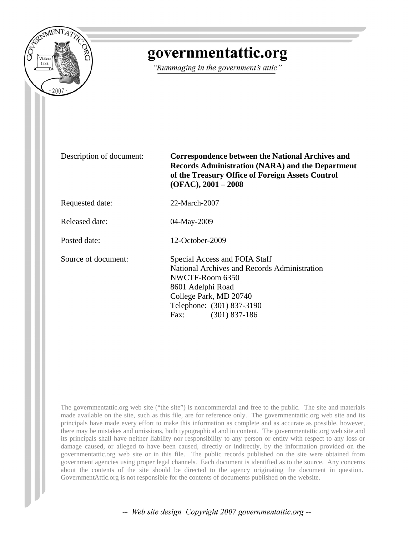

# governmentattic.org

"Rummaging in the government's attic"

Description of document: **Correspondence between the National Archives and Records Administration (NARA) and the Department of the Treasury Office of Foreign Assets Control (OFAC), 2001 – 2008**

Requested date: 22-March-2007

Released date: 04-May-2009

Posted date: 12-October-2009

Source of document: Special Access and FOIA Staff National Archives and Records Administration NWCTF-Room 6350 8601 Adelphi Road College Park, MD 20740 Telephone: (301) 837-3190 Fax: (301) 837-186

The governmentattic.org web site ("the site") is noncommercial and free to the public. The site and materials made available on the site, such as this file, are for reference only. The governmentattic.org web site and its principals have made every effort to make this information as complete and as accurate as possible, however, there may be mistakes and omissions, both typographical and in content. The governmentattic.org web site and its principals shall have neither liability nor responsibility to any person or entity with respect to any loss or damage caused, or alleged to have been caused, directly or indirectly, by the information provided on the governmentattic.org web site or in this file. The public records published on the site were obtained from government agencies using proper legal channels. Each document is identified as to the source. Any concerns about the contents of the site should be directed to the agency originating the document in question. GovernmentAttic.org is not responsible for the contents of documents published on the website.

-- Web site design Copyright 2007 governmentattic.org --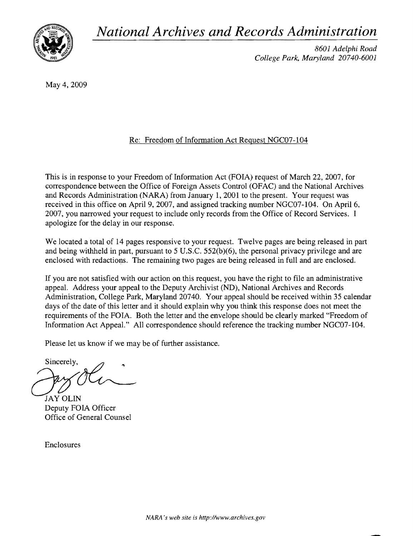*National Archives and Records Administration* 



*8601 Adelphi Road College Park, Maryland 20740-6001* 

May 4, 2009

# Re: Freedom of Information Act Request NGC07 -104

This is in response to your Freedom of Information Act (FOIA) request of March 22, 2007, for correspondence between the Office of Foreign Assets Control (OFAC) and the National Archives and Records Administration (NARA) from January 1,2001 to the present. Your request was received in this office on April 9, 2007, and assigned tracking number NGC07-104. On April 6, 2007, you narrowed your request to include only records from the Office of Record Services. I apologize for the delay in our response.

We located a total of 14 pages responsive to your request. Twelve pages are being released in part and being withheld in part, pursuant to 5 U.S.c. 552(b)(6), the personal privacy privilege and are enclosed with redactions. The remaining two pages are being released in full and are enclosed.

If you are not satisfied with our action on this request, you have the right to file an administrative appeaL Address your appeal to the Deputy Archivist (ND), National Archives and Records Administration, College Park, Maryland 20740. Your appeal should be received within 35 calendar days of the date of this letter and it should explain why you think this response does not meet the requirements of the FOIA. Both the letter and the envelope should be clearly marked "Freedom of Information Act Appeal." All correspondence should reference the tracking number NGC07 -104.

Please let us know if we may be of further assistance.

Sincerely,

JAY OLIN<br>Deputy FOIA Officer Office of General Counsel

Enclosures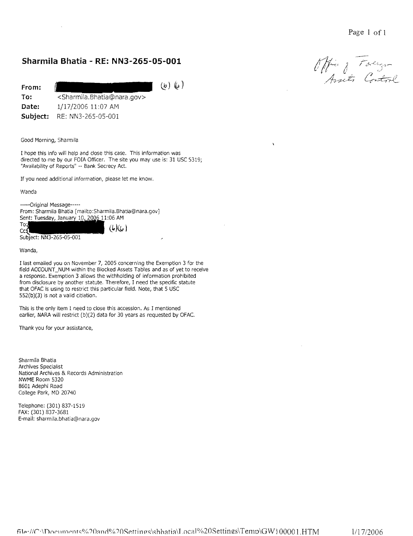# **Sharmila Bhatia - RE: NN3-265-05-001**

**From:** 

 $(b)$   $(a)$ 

**To: Date: Subject:**  <Sharmila. Bhatia@nara.gov> 1/17/2006 11:07 AM RE: NN3-265-05-001

Good Morning, Sharmila

I hope this info will help and close this case. This information was directed to me by our FOIA Officer. The site you may use is: 31 USC 5319; "Availability of Reports" -- Bank Secrecy Act.

If you need additional information, please let me know.

Wanda

-----Original Message-----

From: Sharmila Bhatia [mailto:Sharmila.Bhatia@nara.gov] Sent: Tuesday, January 10, 2006 11:06 AM

To:  $(b)(e)$  $Cct$ Subject: NN3-265-05-001

Wanda,

I last em ailed you on November 7, 2005 concerning the Exemption 3 for the field ACCOUNT \_NUM within the Blocked Assets Tables and as of yet to receive a response. Exemption 3 allows the withholding of information prohibited from disclosure by another statute. Therefore, I need the specific statute that OFAC is using to restrict this particular field. Note, that 5 USC 552(b)(3) is not a valid citiation.

This is the only item I need to close this accession. As I mentioned earlier, NARA will restrict (b)(2) data for 30 years as requested by OFAC.

Thank you for your assistance,

Sharmila Bhatia Archives Specialist National Archives & Records Administration NWME Room 5320 8601 Adephi Road College Park, MD 20740

Telephone: (301) 837-1519 FAX: (301) 837-3681 E-mail: sharmila.bhatia@nara.gov

 $\lambda$ 

Office of Taylor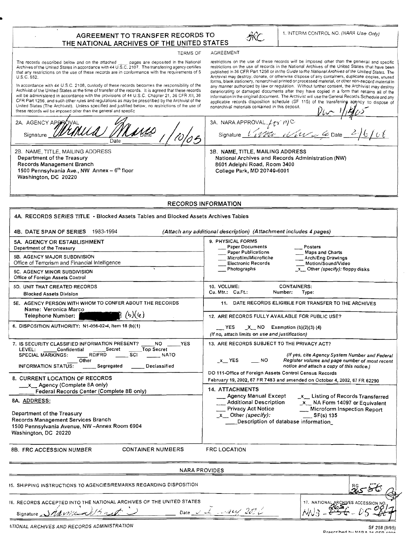### AGREEMENT TO TRANSFER RECORDS TO THE NATIONAL ARCHIVES OF THE UNITED STATES



#### TERMS OF AGREEMENT

The records described below and on the attached \_\_\_\_ pages are deposited in the National Archives of the United States in accordance with 44 U.S.C. 2107. The transferring agency certifies that any restrictions on the use of these records are in conformance with the requirements of 5 U.S.C. 552.

..

In accordance wilh 44 U.S.c. 2108, custody of these records becomes the responsibility of the Archivist of the United States al the time of transfer of the records. 11 is agreed thai these records will be administered in accordance with the provisions of 44 U,S,C. Chapter 21, 36 CFR XII, 36 CFR Part 1256, and such other rules and regulations as may be prescribed by the Archivist of the United States (The Archivist), Unless specified and justified below, no restrictions of the use of these records will be imposed other than the general and specific

restrictions on the use of these records will be imposed other than the general and specific restrictions on the use of records in the National Archives of the United States that have been published in 36 CFR Part 1256 or in the Guide to the National Archives of the United States. The Archivist may destroy, donate, or otherwise dispose of any containers, duplicate copies, unused<br>forms, blank stationery, nonarchival printed or processed material, or other non-record material in any manner authorized by law or regulation, Without further consent, the Archivist may destroy deteriorating or damaged documents after they have copied in a form that retains all of the information in the original document. The Archivist will use the General Records Schedule and any applicable records disposition schedule (SF 115) of the transferring agency to dispose of nonarchival materials contained in this deposit 1

2A. AGENCY APPROVAL 3A. NARA APPROVAL $\mathcal{L}_U$   $\gamma$   $\eta$ C *MUME* Signature  $\iota'_{\ell} \psi_{\ell}^{\prime} \epsilon_{\ell'}$   $\iota'_{\ell'} \iota_{\ell'} \iota_{\ell'} \in \mathcal{L}$  Date  $6/66$ Signature 3B. NAME, TITLE, MAILING ADDRESS 28, NAME, TITLE, MAILING ADDRESS Department of the Treasury National Archives and Records Administration (NW) Records Management Branch B601 Adelphi Road, Room 3400 1500 Pennsylvania Ave., NW Annex - 6<sup>th</sup> floor College Park, MD 2Q740-6001 Washington, DC 20220

#### RECORDS INFORMATION

| 4A. RECORDS SERIES TITLE - Blocked Assets Tables and Blocked Assets Archives Tables                                                                                                                                                                                  |                                                                                                                                                                                                                                                                                |  |  |
|----------------------------------------------------------------------------------------------------------------------------------------------------------------------------------------------------------------------------------------------------------------------|--------------------------------------------------------------------------------------------------------------------------------------------------------------------------------------------------------------------------------------------------------------------------------|--|--|
| 4B. DATE SPAN OF SERIES 1983-1994<br>(Attach any additional description) (Attachment includes 4 pages)                                                                                                                                                               |                                                                                                                                                                                                                                                                                |  |  |
| 5A. AGENCY OR ESTABLISHMENT<br>Department of the Treasury<br><b>5B. AGENCY MAJOR SUBDIVISION</b>                                                                                                                                                                     | 9. PHYSICAL FORMS<br>Paper Documents<br>Posters<br><b>Paper Publications</b><br><b>Maps and Charts</b><br>Microfilm/Microfiche<br>Arch/Eng Drawings                                                                                                                            |  |  |
| Office of Terrorism and Financial Intelligence<br>5C. AGENCY MINOR SUBDIVISION<br>Office of Foreign Assets Control                                                                                                                                                   | <b>Electronic Records</b><br>Motion/Sound/Video<br>Photographs<br>$x$ Other (specify): floppy disks                                                                                                                                                                            |  |  |
| 5D. UNIT THAT CREATED RECORDS<br><b>Blocked Assets Division</b>                                                                                                                                                                                                      | 10. VOLUME:<br><b>CONTAINERS:</b><br>Cu. Mtr.: Cu.Ft.:<br>Number:<br>Type:                                                                                                                                                                                                     |  |  |
| 5E. AGENCY PERSON WITH WHOM TO CONFER ABOUT THE RECORDS<br>Name: Veronica Marco                                                                                                                                                                                      | 11. DATE RECORDS ELIGIBLE FOR TRANSFER TO THE ARCHIVES                                                                                                                                                                                                                         |  |  |
| (b)(e)<br>Telephone Number:                                                                                                                                                                                                                                          | 12. ARE RECORDS FULLY AVAILABLE FOR PUBLIC USE?                                                                                                                                                                                                                                |  |  |
| 6. DISPOSITION AUTHORITY: N1-056-02-4, Item 18 (b)(1)                                                                                                                                                                                                                | $X$ NO Exemption (b)(2)(3) (4)<br>YES<br>(If no, attach limits on use and justification)                                                                                                                                                                                       |  |  |
| 7. IS SECURITY CLASSIFIED INFORMATION PRESENT?<br>NO.<br><b>YES</b><br>Secret<br><b>Top Secret</b><br>LEVEL:<br>Confidential<br><b>SPECIAL MARKINGS:</b><br>RD/FRD<br><b>SCI</b><br><b>NATO</b><br>Other<br><b>INFORMATION STATUS:</b><br>Segregated<br>Declassified | 13. ARE RECORDS SUBJECT TO THE PRIVACY ACT?<br>(If yes, cite Agency System Number and Federal<br>$x$ YES<br><b>NO</b><br>Register volume and page number of most recent<br>notice and attach a copy of this notice.)<br>DO 111-Office of Foreign Assets Control Census Records |  |  |
| <b>8. CURRENT LOCATION OF RECORDS</b><br>__x__ Agency (Complete 8A only)                                                                                                                                                                                             | February 19, 2002, 67 FR 7483 and amended on October 4, 2002, 67 FR 62290<br>14. ATTACHMENTS                                                                                                                                                                                   |  |  |
| Federal Records Center (Complete 8B only)<br>8A. ADDRESS:<br>Department of the Treasury<br>Records Management Services Branch<br>1500 Pennsylvania Avenue, NW-Annex Room 6904<br>Washington, DC 20220                                                                | Agency Manual Except<br>_x_ Listing of Records Transferred<br><b>Additional Description</b><br>$x$ NA Form 14097 or Equivalent<br>Privacy Act Notice<br>Microform Inspection Report<br>x Other (specify):<br>$\frac{S}{135}$<br>Description of database information            |  |  |
| <b>CONTAINER NUMBERS</b><br><b>8B. FRC ACCESSION NUMBER</b>                                                                                                                                                                                                          | <b>FRC LOCATION</b>                                                                                                                                                                                                                                                            |  |  |
| <b>NARA PROVIDES</b>                                                                                                                                                                                                                                                 |                                                                                                                                                                                                                                                                                |  |  |
| 15. SHIPPING INSTRUCTIONS TO AGENCIES/REMARKS REGARDING DISPOSITION                                                                                                                                                                                                  | 256                                                                                                                                                                                                                                                                            |  |  |

16. RECORDS ACCEPTED INTO THE NATIONAL ARCHIVES OF THE UNITED STATES

Date  $\sim$  the many 200

17. NATIONAL ARCHIVES ACCESSION NO

4TIONAL ARCHIVES AND RECORDS ADMINISTRATION **No. 2008** SF 258 (9/95)

Signature Nawie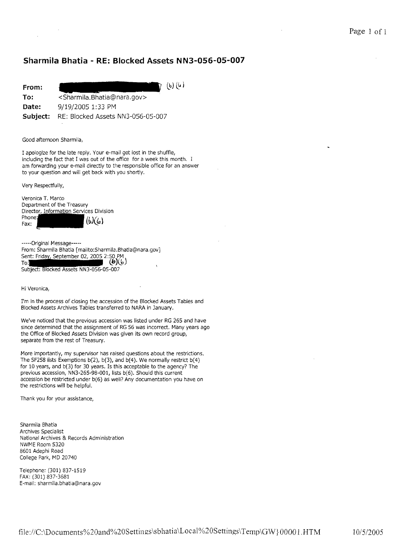## **Sharmila Bhatia - RE: Blocked Assets N N3-056-05-007**

| From:    | $(b)$ $(a)$                                           |
|----------|-------------------------------------------------------|
| To:      | <sharmila.bhatia@nara.gov></sharmila.bhatia@nara.gov> |
| Date:    | 9/19/2005 1:33 PM                                     |
| Subject: | RE: Blocked Assets NN3-056-05-007                     |

### Good afternoon Sharmila,

r apologize for the late reply. Your e-mail got lost in the shuffle, including the fact that I was out of the office for a week this month. am forwarding your e-mail directly to the responsible office for an answer to your question and will get back with you shortly.

Very Respectfully,

Veronica T. Marco Department of the Treasury Director, Information Services Division Phone:  $(b)(a)$ Fax:

-----Original Message----- From: Sharmila Bhatia [mailto:Sharmila.Bhatia@nara.gov] Sent: Friday, September 02, 2005 2:50 PM  $(b)(b)$ Subject: Blocked Assets NN3-056-05-007

Hi Veronica,

I'm in the process of closing the accession of the Blocked Assets Tables and Blocked Assets Archives Tables transferred to NARA in January.

We've noticed that the previous accession was listed under RG 265 and have since determined that the assignment of RG 56 was incorrect. Many years ago the Office of Blocked Assets Division was given its own record group, separate from the rest of Treasury.

More importantly, my supervisor has raised questions about the restrictions. The SF258 lists Exemptions b(2), b(3), and b(4). We normally restrict b(4) for 10 years, and b(3) for 30 years. Is this acceptable to the agency? The previous accession, NN3-265-98-001, lists b(6). Should this current accession be restricted under b(6) as well? Any documentation you have on the restrictions will be helpful.

Thank you for your assistance,

Sharmila Bhatia Archives Specialist National Archives & Records Administration NWME Room 5320 8601 Adephi Road College Park, MD 20740

Telephone: (301) 837-1519 FAX: (301) 837-3681 E-mail: sharmila.bhatia@nara.gov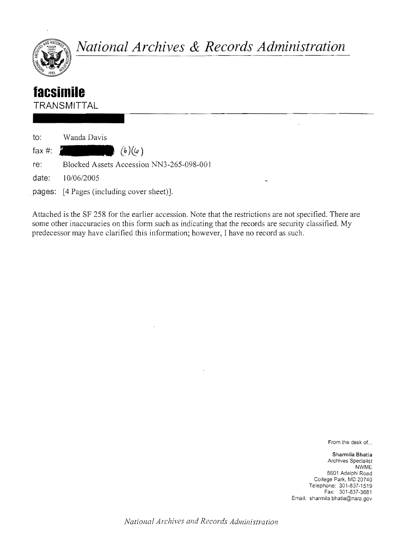

*National Archives* **&** *Records Administration* 

 $\bar{z}$ 

# **lacsifnile**

**TRANSMITTAL** 

| to:   | Wanda Davis                               |
|-------|-------------------------------------------|
|       | fax #: $\int_{a}^{b} (b)(a)$              |
| re:   | Blocked Assets Accession NN3-265-098-001  |
| date: | - 10/06/2005                              |
|       | pages: [4 Pages (including cover sheet)]. |

Attached is the SF 258 for the earlier accession. Note that the restrictions are not specified. There are some other inaccuracies on this form such as indicating that the records are security classified. My predecessor may have clarified this information; however, I have no record as such.

From the desk of...

Sharmila Bhatia Archives Specialist NWME 8601 Adelphi Road College Park, MD 20740 Telephone: 301·837-1519 Fax: 301-837-3681 Email: sharmila,bhatia@nara,gov

*Natiollal Archives and Records Administration*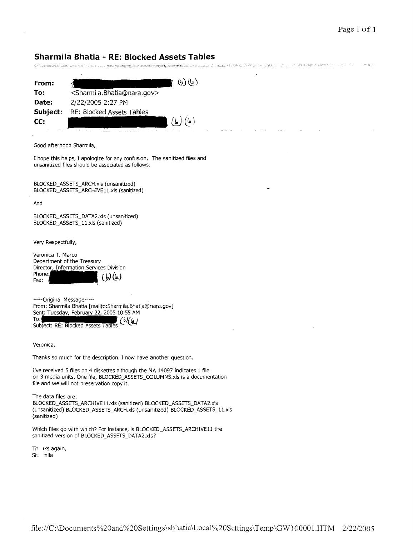**Sharmila Bhatia - RE: Blocked Assets Tables**  Chamber Report

| From:         | (b)(b)                                                |
|---------------|-------------------------------------------------------|
| To:           | <sharmila.bhatia@nara.gov></sharmila.bhatia@nara.gov> |
| Date:         | 2/22/2005 2:27 PM                                     |
| Subject:      | RE: Blocked Assets Tables                             |
| CC:<br>$\sim$ | (a)<br>ما)                                            |

Good afternoon Sharmila,

I hope this helps, I apologize for any confusion. The sanitized files and unsanitized files should be associated as follows:

BLOCKED\_ASSETS\_ARCH.xls (unsanitized) BLOCKED\_ASSETS\_ARCHIVE11.xls (sanitized)

And

BLOCKED\_ASSETS\_DATA2.xls (unsanitized) BLOCKED\_ASSETS\_11.xls (sanitized)

Very Respectfully,

Veronica T. Marco Department of the Treasury Director, Information Services Division Phone: **lbJ <ia-)**  Fax:

-----Original Message----- From: Sharmila Bhatia [mailto:Sharmila.Bhatia@nara.gov] Sent: Tuesday, February 22, 2005 10:55 AM Subject: RE: Blocked Assets Tables (b)(a)

Veronica,

Thanks so much for the description. I now have another question.

I've received 5 files on 4 diskettes although the NA 14097 indicates 1 file on 3 media units. One file, BLOCKED\_ASSETS\_COLUMNS.xls is a documentation file and we will not preservation copy it.

The data files are: BLOCKED\_ASSETS\_ARCHIVE11.xls (sanitized) BLOCKED\_ASSETS\_DATA2.xls (unsanitized) BLOCKED\_A5SET5\_ARCH.xls (unsanitized) BLOCKED\_AS5ETS\_11.xls (sanitized)

Which files go with which? For instance, is BLOCKED\_ASSETS\_ARCHIVEll the sanitized version of BLOCKED\_ASSETS\_DATA2.xls?

Th iks again,

Sh. nila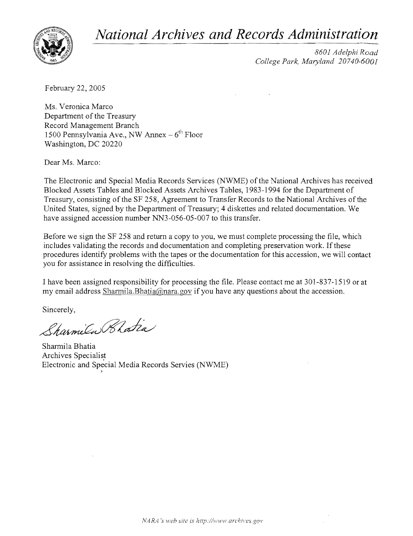*National Archives and Records Adlninistration* 



*8601 Adelphi Road College Park, Maryland 20740-6001* 

February 22,2005

Ms. Veronica Marco Department of the Treasury Record Management Branch 1500 Pennsylvania Ave., NW Annex  $-6^{th}$  Floor Washington, DC 20220

Dear Ms. Marco:

The Electronic and Special Media Records Services (NWME) of the National Archives has received Blocked Assets Tables and Blocked Assets Archives Tables, 1983-1994 for the Department of Treasury, consisting of the SF 258, Agreement to Transfer Records to the National Archives of the United States, signed by the Department of Treasury; 4 diskettes and related documentation. We have assigned accession number NN3-056-05-007 to this transfer.

Before we sign the SF 258 and return a copy to you, we must complete processing the file, which includes validating the records and documentation and completing preservation work. If these procedures identify problems with the tapes or the documentation for this accession, we will contact you for assistance in resolving the difficulties.

I have been assigned responsibility for processing the file. Please contact me at 301-837-1519 or at my email address Sharmila.Bhatia@nara.gov if you have any questions about the accession.

Sincerely,

Sharmila Rhatia

.>

Sharmila Bhatia Archives Specialist Electronic and Special Media Records Servies (NWME)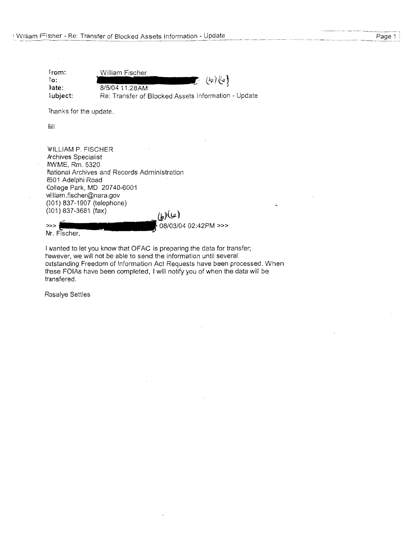William Fischer from:  $(b)$  (c) 10: ŗ. ~ate: *8/5/04* 11 :28AM Subject: Re: Transfer of Blocked Assets Information - Update

Thanks for the update.

Bill

WILLIAM P. FISCHER Archives Specialist I\WME, Rm. 5320 National Archives and Records Administration 8501 Adelphi Road College Park, MD 20740-6001 william.fischer@nara.gov (301) 837-1907 (telephone) (301) 837-3681 (fax)<br>>>> **{II +**<br>Mr Fischer  $(\omega)$ 

08/03/04 02:42PM >>>

Mr. Fischer,

I wanted to let you know that OFAC is preparing the data for transfer; however, we will not be able to send the information until several outstanding Freedom of Information Act Requests have been processed. When these FOIAs have been completed, I will notify you of when the data will be transfered.

Rosalye Settles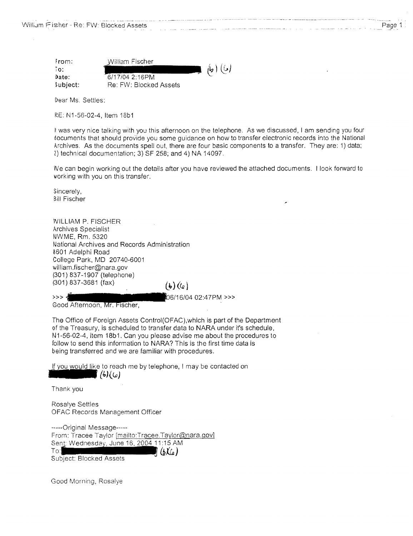| From:    | William Fischer        |            |
|----------|------------------------|------------|
| Tο.      |                        | $\phi$ (6) |
| Date:    | 6/17/04 2:16PM         |            |
| Subject: | Re: FW: Blocked Assets |            |

Dear Ms, Settles:

RE: N1-56-02-4, Item 18b1

If was very nice talking with you this afternoon on the telephone. As we discussed, I am sending you four documents that should provide you some guidance on how to transfer electronic records into the National Archives. As the documents spell out, there are four basic components to a transfer. They are: 1) data; 2) technical documentation; 3) SF 258; and 4) NA 14097.

INe can begin working out the details after you have reviewed the attached documents. I look forward to working with you on this transfer.

Sincerely, Bill Fischer

VVlLLIAM P. FISCHER Archives Specialist NWME, Rm. 5320 National Archives and Records Administration 8601 Adelphi Road College Park, MD 20740-6001 william.fischer@nara.gov (301) 837-1907 (telephone) (301) 837-3681 (fax)  $(b)(a)$ 

6/04 02:47PM >>>

Good Afternoon, Mr. Fischer,

The Office of Foreign Assets Control(OFAC),which is part of the Department of the Treasury, is scheduled to transfer data to NARA under it's schedule, N1-56-02-4, item 18b1. Can you please advise me about the procedures to follow to send this information to NARA? This is the first time data is being transferred and we are familiar with procedures.

If you would like to reach me by telephone, I may be contacted on

**(4J{1.a)** 

Thank you

∮ <<<

Rosalye Settles OFAC Records Management Officer

-----Original Message-----From: Tracee Taylor [mailto:Tracee.Taylor@nara.gov] Sent: Wednesday, June 16, 2004 11:15 AM  $To:$  $(6\chi_{a})$ Subject: Blocked Assets

Good Morning. Rosatye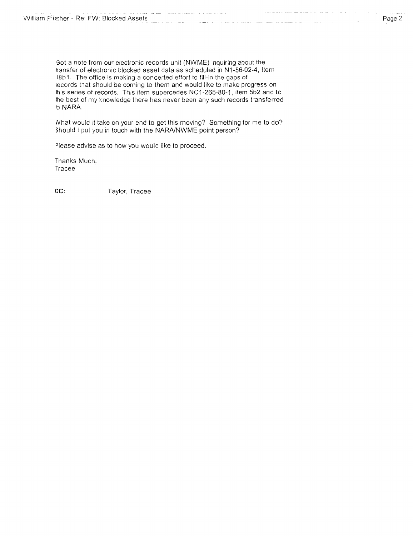Got a note from our electronic records unit (NWME) inquiring about the transfer of electronic blocked asset data as scheduled in N1-56-02-4, Item 18b1. The office is making a concerted effort to fill-in the gaps of iecords that should be coming to them and would like to make progress on his series of records. This item supercedes NC1-265-80-1, Item 5b2 and to !he best of my knowledge there has never been any such records transferred !o NARA.

IVhat would it take on your end to get this moving? Something for me to do? Should I put you in touch with the NARAlNWME point person?

Please advise as to how you would like to proceed.

Thanks Much. Tracee

**cc;** Taylor. Tracee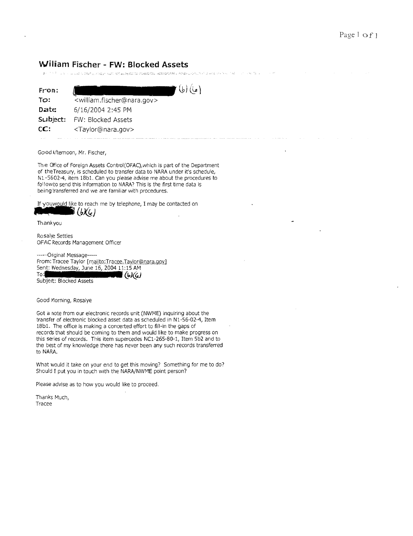## **William Fischer - FW: Blocked Assets**

| Service Mill<br>また こうきっとう しょしょう Distarty とのほう Castic site as Resident (Take Citize Biography)を稼ぐ Advertisements from Disk North Citize について しゃっぱしん |                                                       |  |
|----------------------------------------------------------------------------------------------------------------------------------------------------|-------------------------------------------------------|--|
| From:                                                                                                                                              | (ما) (ما)                                             |  |
| TO:                                                                                                                                                | <william.fischer@nara.gov></william.fischer@nara.gov> |  |
| Date:                                                                                                                                              | 6/16/2004 2:45 PM                                     |  |
| Subject:                                                                                                                                           | <b>FW: Blocked Assets</b>                             |  |
| CC:                                                                                                                                                | <taylor@nara.gov></taylor@nara.gov>                   |  |
|                                                                                                                                                    |                                                       |  |

Good Afternoon, Mr. Fischer,

Th e Ofice of Foreign Assets Control(OFAC),which is part of the Department of theTreasury, is scheduled to transfer data to NARA under it's schedule, N 1-5&02-4, item 18bl. Can you please advise me about the procedures to followto send this information to NARA? This is the first time data is being transferred and we are familiar with procedures.

If youwould like to reach me by telephone, I may be contacted on<br> **Thankyou**<br> **Thankyou** 

Rosalye Settles OFAC Records Management Officer

-----Onginal Message----- From: Tracee Taylor [mailto:Tracee.Taylor@nara.gov] Sent: Wednesday, June 16, 2004 11:15 AM To: *Q-J(iLJ* 

Subject: Blocked Assets

Good Morning, Rosalye

Got a note from our electronic records unit (NWME) inquiring about the transfer of electronic blocked asset data as scheduled in Nl-56-02-4, Item 18bl. The office is making a concerted effort to fill-in the gaps of records that should be coming to them and would like to make progress on this series of records. This item supercedes NC1-265-80-1, Item 5b2 and to the best of my knowledge there has never been any such records transferred to NARA.

What would it take on your end to get this moving? Something for me to do? Should I put you in touch with the NARA/NWME point person?

Please advise as to how you would like to proceed.

Thanks Much, Tracee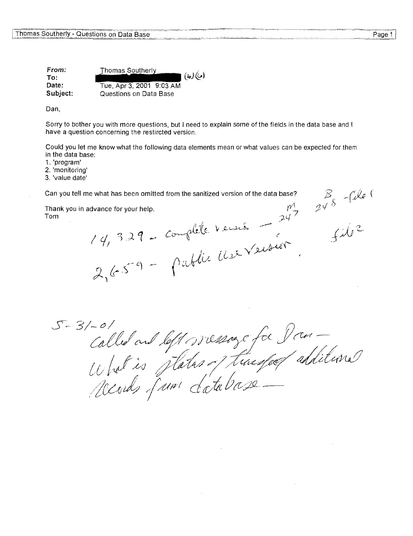**From: Thomas Southerly**  $(\iota_{\theta})(\iota_{\theta})$ **To: Date:**  Tue, Apr 3, 2001 9:03 AM **Subject:**  Questions on Data Base

Dan,

Sorry to bother you with more questions, but I need to explain some of the fields in the data base and I have a question concerning the restircted version.

Could you let me know what the following data elements mean or what values can be expected for them in the data base:

1. 'program'

2. 'monitoring'

3. 'value date'

Thank you in advance for your help. Tom

Can you tell me what has been omitted from the sanitized version of the data base?<br>
Thank you in advance for your help.<br>
Tom<br>  $(4, 3.29 -$  Complete Version<br>  $24^7$ <br>  $24^8$ <br>  $24^8$ <br>  $24^8$ <br>  $24^8$ 

1-01<br>Called and left werening for Dan-<br>What is plater of threspeof additional  $5 - 3/-0/$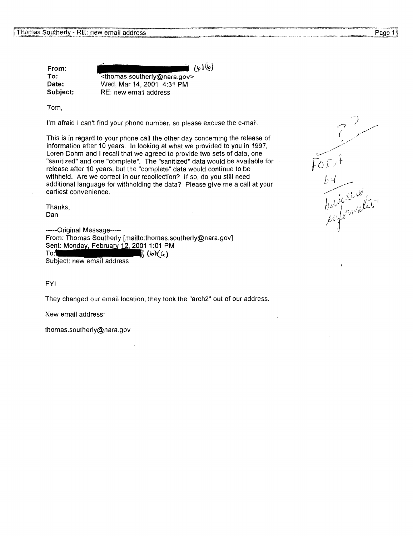From: To: Date: Subject:

 $(\frac{1}{6})$ <thomas.southerly@nara.gov> Wed, Mar 14,2001 4:31 PM RE: new email address

Tom,

I'm afraid I can't find your phone number, so please excuse the e-mail.

This is in regard to your phone call the other day concerning the release of information after 10 years. In looking at what we provided to you in 1997, Loren Dohm and I recall that we agreed to provide two sets of data, one "sanitized" and one "complete". The "sanitized" data would be available for release after 10 years, but the "complete" data would continue to be withheld. Are we correct in our recollection? If so, do you still need additional language for withholding the data? Please give me a call at your earliest convenience.

Thanks, Dan

-----Original Message----- From: Thomas Southerly [mailto:thomas.southerly@nara.gov] Sent: Monday, February 12, 2001 1:01 PM To:  $\left\{ \left( \mathbf{b} \right) \right\}$  ( $\mathbf{b} \right)$  ( $\mathbf{b}$ )( $\mathbf{c}$ )<br>Subject: new email address

FYI

They changed our email location, they took the "arch2" out of our address.

New email address:

thomas.southerly@nara.gov

FOIA<br>by<br>habitaries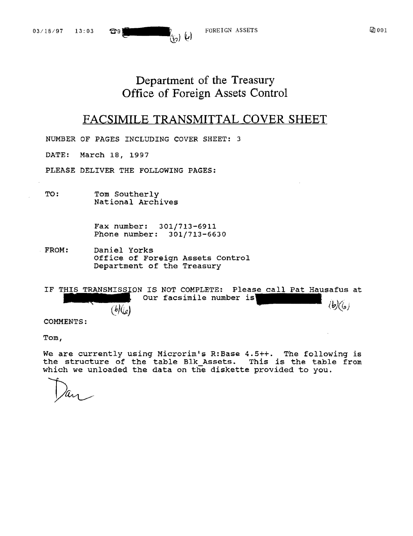FOREIGN ASSETS

# Department of the Treasury Office of Foreign Assets Control

# FACSIMILE TRANSMITTAL COVER SHEET

NUMBER OF PAGES INCLUDING COVER SHEET: 3

DATE: March 18, 1997

PLEASE DELIVER THE FOLLOWING PAGES:

TO: Tom Southerly National Archives

 $\mathfrak{B}9$ 

Fax number: 301/713-6911 Phone number: 301/713-6630

FROM: Daniel Yorks Office of Foreign Assets Control Department of the Treasury

I: Daniel Yorks<br>
Office of Foreign Asset<br>
Department of the Treas<br>
HIS TRANSMISSION IS NOT COMPL<br>
Our facsimile<br>
(b)(0) TRANSMISSION IS NOT COMPLETE: Please call Pat Hausafus at IF THIS Our facsimile number is  $\langle b \rangle$   $\langle b \rangle$  $(b)(\ell_{e})$ 

COMMENTS:

Tom,

We are currently using Microrim's R:Base 4.5++. The following is the structure of the table Blk Assets. This *is* the table from which we unloaded the data on the diskette provided to you.